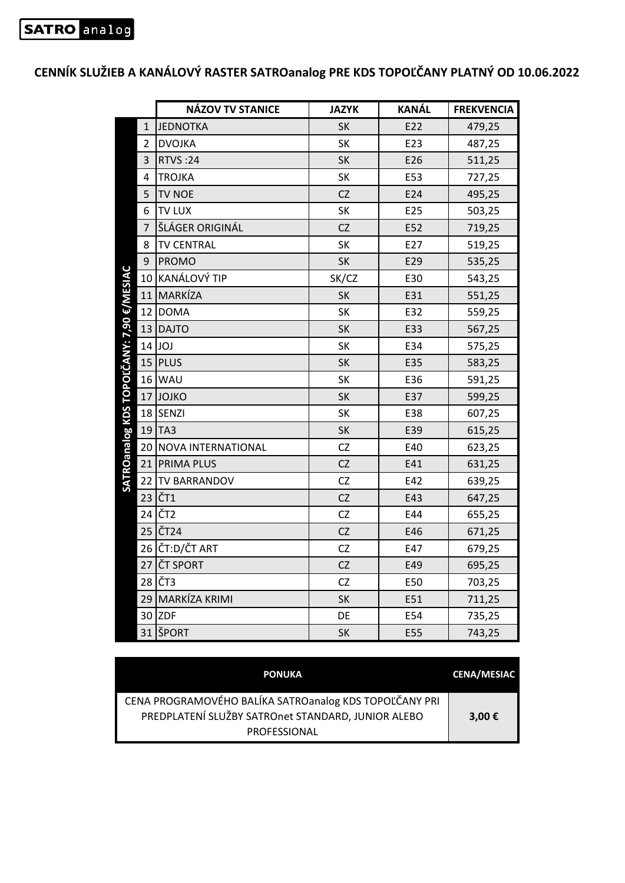|                                          |                | <b>NÁZOV TV STANICE</b> | <b>JAZYK</b> | <b>KANÁL</b> | <b>FREKVENCIA</b> |
|------------------------------------------|----------------|-------------------------|--------------|--------------|-------------------|
| SATROanalog KDS TOPOĽČANY: 7,90 €/MESIAC | $\mathbf{1}$   | <b>JEDNOTKA</b>         | SK           | E22          | 479,25            |
|                                          | $\overline{2}$ | <b>DVOJKA</b>           | <b>SK</b>    | E23          | 487,25            |
|                                          | 3              | <b>RTVS:24</b>          | <b>SK</b>    | E26          | 511,25            |
|                                          | $\overline{4}$ | <b>TROJKA</b>           | SK           | E53          | 727,25            |
|                                          | 5              | <b>TV NOE</b>           | CZ           | E24          | 495,25            |
|                                          | 6              | <b>TV LUX</b>           | SK           | E25          | 503,25            |
|                                          | $\overline{7}$ | ŠLÁGER ORIGINÁL         | CZ           | E52          | 719,25            |
|                                          | 8              | <b>TV CENTRAL</b>       | <b>SK</b>    | E27          | 519,25            |
|                                          | 9              | <b>PROMO</b>            | SK           | E29          | 535,25            |
|                                          | 10             | KANÁLOVÝ TIP            | SK/CZ        | E30          | 543,25            |
|                                          | 11             | MARKÍZA                 | <b>SK</b>    | E31          | 551,25            |
|                                          |                | 12 DOMA                 | SK           | E32          | 559,25            |
|                                          |                | 13 DAJTO                | <b>SK</b>    | E33          | 567,25            |
|                                          |                | $14$ JOJ                | SK           | E34          | 575,25            |
|                                          | 15             | PLUS                    | <b>SK</b>    | E35          | 583,25            |
|                                          |                | $16$ WAU                | <b>SK</b>    | E36          | 591,25            |
|                                          |                | 17 JOJKO                | SK           | E37          | 599,25            |
|                                          |                | 18 SENZI                | <b>SK</b>    | E38          | 607,25            |
|                                          | 19             | TA3                     | SK           | E39          | 615,25            |
|                                          | 20             | NOVA INTERNATIONAL      | CZ           | E40          | 623,25            |
|                                          | 21             | <b>PRIMA PLUS</b>       | <b>CZ</b>    | E41          | 631,25            |
|                                          | 22             | <b>TV BARRANDOV</b>     | CZ           | E42          | 639,25            |
|                                          |                | 23 ČT1                  | CZ           | E43          | 647,25            |
|                                          | 24             | ČT <sub>2</sub>         | CZ           | E44          | 655,25            |
|                                          | 25             | ČT <sub>24</sub>        | CZ           | E46          | 671,25            |
|                                          |                | 26 ČT:D/ČT ART          | CZ           | E47          | 679,25            |
|                                          | 27             | <b>ČT SPORT</b>         | CZ           | E49          | 695,25            |
|                                          | 28             | ČT3                     | CZ           | E50          | 703,25            |
|                                          | 29             | MARKÍZA KRIMI           | SK           | E51          | 711,25            |
|                                          | 30             | <b>ZDF</b>              | DE           | E54          | 735,25            |
|                                          |                | 31 ŠPORT                | <b>SK</b>    | E55          | 743,25            |

**CENNÍK SLUŽIEB A KANÁLOVÝ RASTER SATROanalog PRE KDS TOPOĽČANY PLATNÝ OD 10.06.2022** 

| <b>PONUKA</b>                                                                                                                       | <b>CENA/MESIAC</b> |
|-------------------------------------------------------------------------------------------------------------------------------------|--------------------|
| CENA PROGRAMOVÉHO BALÍKA SATROanalog KDS TOPOĽČANY PRI<br>PREDPLATENÍ SLUŽBY SATROnet STANDARD, JUNIOR ALEBO<br><b>PROFESSIONAL</b> | 3,00 €             |